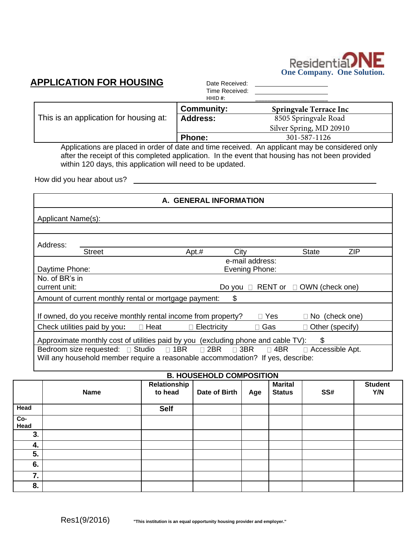

# **APPLICATION FOR HOUSING** Date Received:

Time Received:

|                                        | HHID#:            |                                |
|----------------------------------------|-------------------|--------------------------------|
|                                        | <b>Community:</b> | <b>Springvale Terrace Inc.</b> |
| This is an application for housing at: | <b>Address:</b>   | 8505 Springvale Road           |
|                                        |                   | Silver Spring, MD 20910        |
|                                        | <b>Phone:</b>     | 301-587-1126                   |

Applications are placed in order of date and time received. An applicant may be considered only after the receipt of this completed application. In the event that housing has not been provided within 120 days, this application will need to be updated.

<u>and the state of the state of the state of the state of the state of the state of the state of the state of the state of the state of the state of the state of the state of the state of the state of the state of the state</u>

How did you hear about us?

| A. GENERAL INFORMATION                                                                     |                    |      |                 |                                              |            |  |  |
|--------------------------------------------------------------------------------------------|--------------------|------|-----------------|----------------------------------------------|------------|--|--|
| Applicant Name(s):                                                                         |                    |      |                 |                                              |            |  |  |
|                                                                                            |                    |      |                 |                                              |            |  |  |
| Address:                                                                                   |                    |      |                 |                                              |            |  |  |
| <b>Street</b>                                                                              | Apt.#              | City |                 | <b>State</b>                                 | <b>ZIP</b> |  |  |
|                                                                                            |                    |      | e-mail address: |                                              |            |  |  |
| Daytime Phone:                                                                             |                    |      | Evening Phone:  |                                              |            |  |  |
| No. of BR's in                                                                             |                    |      |                 |                                              |            |  |  |
| current unit:                                                                              |                    |      |                 | Do you $\Box$ RENT or $\Box$ OWN (check one) |            |  |  |
| Amount of current monthly rental or mortgage payment:                                      |                    | \$   |                 |                                              |            |  |  |
| If owned, do you receive monthly rental income from property?                              |                    |      | $\Box$ Yes      | $\Box$ No (check one)                        |            |  |  |
|                                                                                            |                    |      |                 |                                              |            |  |  |
| Check utilities paid by you: $\Box$ Heat                                                   | $\Box$ Electricity |      | $\square$ Gas   | $\Box$ Other (specify)                       |            |  |  |
| Approximate monthly cost of utilities paid by you (excluding phone and cable TV):          |                    |      |                 | \$                                           |            |  |  |
| Bedroom size requested: □ Studio □ 1BR □ 2BR □ 3BR<br>$\Box$ 4BR<br>$\Box$ Accessible Apt. |                    |      |                 |                                              |            |  |  |
| Will any household member require a reasonable accommodation? If yes, describe:            |                    |      |                 |                                              |            |  |  |

|             |             |                         | <b>B. HOUSEHOLD COMPOSITION</b> |     |                                 |     |                       |
|-------------|-------------|-------------------------|---------------------------------|-----|---------------------------------|-----|-----------------------|
|             | <b>Name</b> | Relationship<br>to head | Date of Birth                   | Age | <b>Marital</b><br><b>Status</b> | SS# | <b>Student</b><br>Y/N |
| Head        |             | <b>Self</b>             |                                 |     |                                 |     |                       |
| Co-<br>Head |             |                         |                                 |     |                                 |     |                       |
| 3.          |             |                         |                                 |     |                                 |     |                       |
| 4.          |             |                         |                                 |     |                                 |     |                       |
| 5.          |             |                         |                                 |     |                                 |     |                       |
| 6.          |             |                         |                                 |     |                                 |     |                       |
| 7.          |             |                         |                                 |     |                                 |     |                       |
| 8.          |             |                         |                                 |     |                                 |     |                       |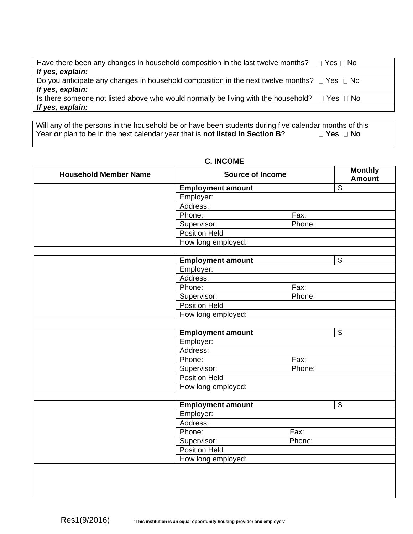| Have there been any changes in household composition in the last twelve months?<br>□ Yes □ No                 |
|---------------------------------------------------------------------------------------------------------------|
| If yes, explain:                                                                                              |
| Do you anticipate any changes in household composition in the next twelve months? $\square$ Yes $\square$ No  |
| If yes, explain:                                                                                              |
| Is there someone not listed above who would normally be living with the household? $\square$ Yes $\square$ No |
| If yes, explain:                                                                                              |

Will any of the persons in the household be or have been students during five calendar months of this Year *or* plan to be in the next calendar year that is **not listed in Section B?**  $\Box$  **Yes**  $\Box$  No

| <b>Household Member Name</b> | <b>Source of Income</b>  | <b>Monthly</b><br><b>Amount</b> |                          |  |
|------------------------------|--------------------------|---------------------------------|--------------------------|--|
|                              | <b>Employment amount</b> |                                 | $\overline{\mathcal{G}}$ |  |
|                              | Employer:                |                                 |                          |  |
|                              | Address:                 |                                 |                          |  |
|                              | Phone:                   | Fax:                            |                          |  |
|                              | Supervisor:              | Phone:                          |                          |  |
|                              | <b>Position Held</b>     |                                 |                          |  |
|                              | How long employed:       |                                 |                          |  |
|                              |                          |                                 |                          |  |
|                              | <b>Employment amount</b> |                                 | $\overline{\mathcal{G}}$ |  |
|                              | Employer:                |                                 |                          |  |
|                              | Address:                 |                                 |                          |  |
|                              | Phone:                   | Fax:                            |                          |  |
|                              | Supervisor:              | Phone:                          |                          |  |
|                              | Position Held            |                                 |                          |  |
|                              | How long employed:       |                                 |                          |  |
|                              |                          |                                 |                          |  |
|                              | <b>Employment amount</b> |                                 | \$                       |  |
|                              | Employer:                |                                 |                          |  |
|                              | Address:                 |                                 |                          |  |
|                              | Phone:                   | Fax:                            |                          |  |
|                              | Supervisor:              | Phone:                          |                          |  |
|                              | <b>Position Held</b>     |                                 |                          |  |
|                              | How long employed:       |                                 |                          |  |
|                              |                          |                                 |                          |  |
|                              | <b>Employment amount</b> |                                 | $\overline{\$}$          |  |
|                              | Employer:                |                                 |                          |  |
|                              | Address:                 |                                 |                          |  |
|                              | Phone:                   | Fax:                            |                          |  |
|                              | Supervisor:              | Phone:                          |                          |  |
|                              | <b>Position Held</b>     |                                 |                          |  |
|                              | How long employed:       |                                 |                          |  |

## **C. INCOME**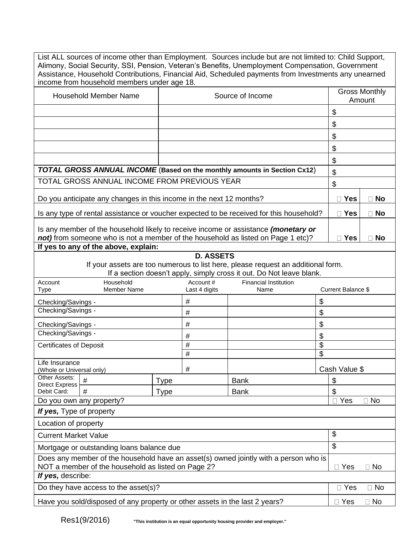List ALL sources of income other than Employment. Sources include but are not limited to: Child Support, Alimony, Social Security, SSI, Pension, Veteran's Benefits, Unemployment Compensation, Government Assistance, Household Contributions, Financial Aid, Scheduled payments from Investments any unearned income from household members under age 18.

| Household Member Name                                                                                                                                                  | Source of Income | <b>Gross Monthly</b><br>Amount |  |
|------------------------------------------------------------------------------------------------------------------------------------------------------------------------|------------------|--------------------------------|--|
|                                                                                                                                                                        |                  | \$                             |  |
|                                                                                                                                                                        |                  | \$                             |  |
|                                                                                                                                                                        |                  | \$                             |  |
|                                                                                                                                                                        |                  | \$                             |  |
|                                                                                                                                                                        |                  | \$                             |  |
| <b>TOTAL GROSS ANNUAL INCOME</b> (Based on the monthly amounts in Section Cx12)                                                                                        | \$               |                                |  |
| TOTAL GROSS ANNUAL INCOME FROM PREVIOUS YEAR                                                                                                                           | \$               |                                |  |
| Do you anticipate any changes in this income in the next 12 months?                                                                                                    | $\Box$ Yes       | <b>No</b>                      |  |
| Is any type of rental assistance or voucher expected to be received for this household?                                                                                | $\Box$ Yes       | $\Box$ No                      |  |
| Is any member of the household likely to receive income or assistance (monetary or<br>not) from someone who is not a member of the household as listed on Page 1 etc)? | Yes              | <b>No</b>                      |  |
| If yes to any of the above, explain:                                                                                                                                   |                  |                                |  |

### **D. ASSETS**

If your assets are too numerous to list here, please request an additional form.

If a section doesn't apply, simply cross it out. Do Not leave blank.

| Account                                                                                                                                    | Household                                                                   |             | Account #     | <b>Financial Institution</b> |                       |                         |  |
|--------------------------------------------------------------------------------------------------------------------------------------------|-----------------------------------------------------------------------------|-------------|---------------|------------------------------|-----------------------|-------------------------|--|
| Type                                                                                                                                       | <b>Member Name</b>                                                          |             | Last 4 digits | Name                         |                       | Current Balance \$      |  |
| Checking/Savings -                                                                                                                         |                                                                             | #           |               |                              |                       |                         |  |
| Checking/Savings -                                                                                                                         |                                                                             | #           |               |                              | \$                    |                         |  |
| Checking/Savings -                                                                                                                         |                                                                             | #           |               |                              | \$                    |                         |  |
| Checking/Savings -                                                                                                                         |                                                                             | #           |               |                              | \$                    |                         |  |
| <b>Certificates of Deposit</b>                                                                                                             |                                                                             | #           |               |                              | \$                    |                         |  |
|                                                                                                                                            |                                                                             | #           |               |                              | \$                    |                         |  |
|                                                                                                                                            | Life Insurance<br>(Whole or Universal only)                                 |             |               |                              |                       | Cash Value \$           |  |
| Other Assets:<br><b>Direct Express</b>                                                                                                     | #                                                                           | <b>Type</b> |               | <b>Bank</b>                  |                       | \$                      |  |
| Debit Card:                                                                                                                                | #                                                                           | <b>Type</b> |               | <b>Bank</b>                  |                       | \$                      |  |
| Do you own any property?                                                                                                                   |                                                                             |             |               |                              | Yes<br>⊟ No<br>$\Box$ |                         |  |
| If yes, Type of property                                                                                                                   |                                                                             |             |               |                              |                       |                         |  |
| Location of property                                                                                                                       |                                                                             |             |               |                              |                       |                         |  |
| <b>Current Market Value</b>                                                                                                                |                                                                             |             |               |                              |                       | \$                      |  |
|                                                                                                                                            | Mortgage or outstanding loans balance due                                   |             |               |                              |                       | \$                      |  |
| Does any member of the household have an asset(s) owned jointly with a person who is<br>NOT a member of the household as listed on Page 2? |                                                                             |             |               |                              |                       | $\Box$ Yes<br>$\Box$ No |  |
| If yes, describe:                                                                                                                          |                                                                             |             |               |                              |                       |                         |  |
|                                                                                                                                            | Do they have access to the asset(s)?                                        |             |               |                              |                       | $\Box$ Yes<br>$\Box$ No |  |
|                                                                                                                                            | Have you sold/disposed of any property or other assets in the last 2 years? |             |               |                              |                       | $\Box$ Yes<br>$\Box$ No |  |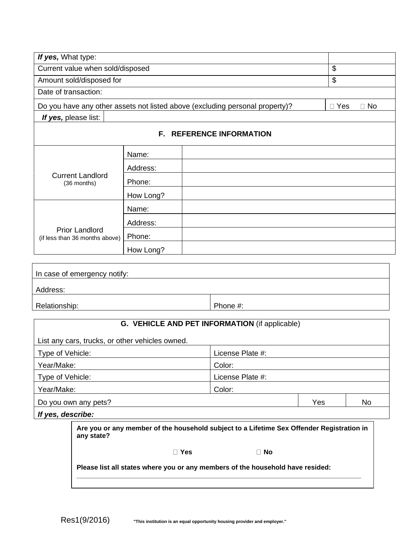| If yes, What type:                                      |           |                                                                                           |     |                         |  |  |
|---------------------------------------------------------|-----------|-------------------------------------------------------------------------------------------|-----|-------------------------|--|--|
| Current value when sold/disposed                        |           |                                                                                           |     | \$                      |  |  |
| Amount sold/disposed for                                |           | \$                                                                                        |     |                         |  |  |
| Date of transaction:                                    |           |                                                                                           |     |                         |  |  |
|                                                         |           | Do you have any other assets not listed above (excluding personal property)?              |     | $\Box$ No<br>$\Box$ Yes |  |  |
| If yes, please list:                                    |           |                                                                                           |     |                         |  |  |
|                                                         |           | <b>F. REFERENCE INFORMATION</b>                                                           |     |                         |  |  |
|                                                         | Name:     |                                                                                           |     |                         |  |  |
|                                                         | Address:  |                                                                                           |     |                         |  |  |
| <b>Current Landlord</b><br>(36 months)                  | Phone:    |                                                                                           |     |                         |  |  |
|                                                         | How Long? |                                                                                           |     |                         |  |  |
|                                                         | Name:     |                                                                                           |     |                         |  |  |
|                                                         | Address:  |                                                                                           |     |                         |  |  |
| <b>Prior Landlord</b><br>(if less than 36 months above) | Phone:    |                                                                                           |     |                         |  |  |
|                                                         | How Long? |                                                                                           |     |                         |  |  |
|                                                         |           |                                                                                           |     |                         |  |  |
| In case of emergency notify:                            |           |                                                                                           |     |                         |  |  |
| Address:                                                |           |                                                                                           |     |                         |  |  |
|                                                         |           |                                                                                           |     |                         |  |  |
| Relationship:                                           |           | Phone #:                                                                                  |     |                         |  |  |
|                                                         |           | G. VEHICLE AND PET INFORMATION (if applicable)                                            |     |                         |  |  |
| List any cars, trucks, or other vehicles owned.         |           |                                                                                           |     |                         |  |  |
| Type of Vehicle:                                        |           | License Plate #:                                                                          |     |                         |  |  |
| Year/Make:                                              |           | Color:                                                                                    |     |                         |  |  |
| Type of Vehicle:                                        |           | License Plate #:                                                                          |     |                         |  |  |
| Year/Make:<br>Color:                                    |           |                                                                                           |     |                         |  |  |
| Do you own any pets?                                    |           |                                                                                           | Yes | No                      |  |  |
| If yes, describe:                                       |           |                                                                                           |     |                         |  |  |
| any state?                                              |           | Are you or any member of the household subject to a Lifetime Sex Offender Registration in |     |                         |  |  |
|                                                         |           | □ Yes<br>$\Box$ No                                                                        |     |                         |  |  |
|                                                         |           | Please list all states where you or any members of the household have resided:            |     |                         |  |  |
|                                                         |           |                                                                                           |     |                         |  |  |

**\_\_\_\_\_\_\_\_\_\_\_\_\_\_\_\_\_\_\_\_\_\_\_\_\_\_\_\_\_\_\_\_\_\_\_\_\_\_\_\_\_\_\_\_\_\_\_\_\_\_\_\_\_\_\_\_\_\_\_\_\_\_\_\_\_\_\_\_\_\_\_\_\_\_\_\_**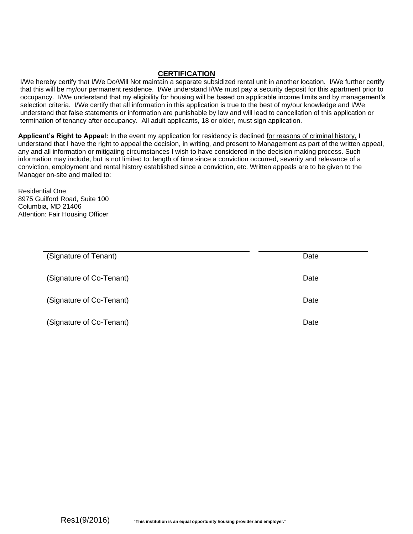#### **CERTIFICATION**

I/We hereby certify that I/We Do/Will Not maintain a separate subsidized rental unit in another location. I/We further certify that this will be my/our permanent residence. I/We understand I/We must pay a security deposit for this apartment prior to occupancy. I/We understand that my eligibility for housing will be based on applicable income limits and by management's selection criteria. I/We certify that all information in this application is true to the best of my/our knowledge and I/We understand that false statements or information are punishable by law and will lead to cancellation of this application or termination of tenancy after occupancy. All adult applicants, 18 or older, must sign application.

**Applicant's Right to Appeal:** In the event my application for residency is declined for reasons of criminal history, I understand that I have the right to appeal the decision, in writing, and present to Management as part of the written appeal, any and all information or mitigating circumstances I wish to have considered in the decision making process. Such information may include, but is not limited to: length of time since a conviction occurred, severity and relevance of a conviction, employment and rental history established since a conviction, etc. Written appeals are to be given to the Manager on-site and mailed to:

Residential One 8975 Guilford Road, Suite 100 Columbia, MD 21406 Attention: Fair Housing Officer

| (Signature of Tenant)    | Date |
|--------------------------|------|
|                          |      |
|                          |      |
| (Signature of Co-Tenant) | Date |
|                          |      |
|                          |      |
| (Signature of Co-Tenant) | Date |
|                          |      |
|                          |      |
| (Signature of Co-Tenant) | Date |
|                          |      |
|                          |      |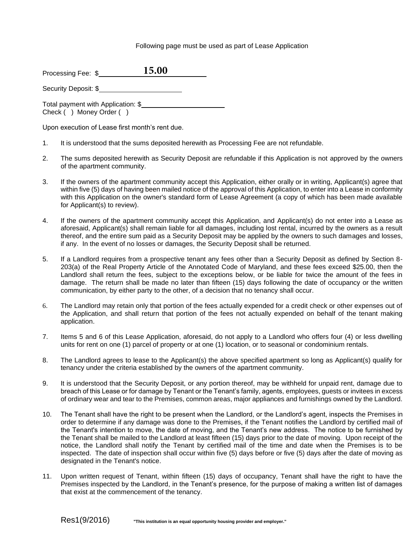#### Following page must be used as part of Lease Application

| Processing Fee: \$ | 15.00 |  |
|--------------------|-------|--|
|                    |       |  |

Security Deposit: \$

Total payment with Application: \$\_\_\_\_\_\_\_\_\_\_ Check ( ) Money Order ( )

Upon execution of Lease first month's rent due.

- 1. It is understood that the sums deposited herewith as Processing Fee are not refundable.
- 2. The sums deposited herewith as Security Deposit are refundable if this Application is not approved by the owners of the apartment community.
- 3. If the owners of the apartment community accept this Application, either orally or in writing, Applicant(s) agree that within five (5) days of having been mailed notice of the approval of this Application, to enter into a Lease in conformity with this Application on the owner's standard form of Lease Agreement (a copy of which has been made available for Applicant(s) to review).
- 4. If the owners of the apartment community accept this Application, and Applicant(s) do not enter into a Lease as aforesaid, Applicant(s) shall remain liable for all damages, including lost rental, incurred by the owners as a result thereof, and the entire sum paid as a Security Deposit may be applied by the owners to such damages and losses, if any. In the event of no losses or damages, the Security Deposit shall be returned.
- 5. If a Landlord requires from a prospective tenant any fees other than a Security Deposit as defined by Section 8- 203(a) of the Real Property Article of the Annotated Code of Maryland, and these fees exceed \$25.00, then the Landlord shall return the fees, subject to the exceptions below, or be liable for twice the amount of the fees in damage. The return shall be made no later than fifteen (15) days following the date of occupancy or the written communication, by either party to the other, of a decision that no tenancy shall occur.
- 6. The Landlord may retain only that portion of the fees actually expended for a credit check or other expenses out of the Application, and shall return that portion of the fees not actually expended on behalf of the tenant making application.
- 7. Items 5 and 6 of this Lease Application, aforesaid, do not apply to a Landlord who offers four (4) or less dwelling units for rent on one (1) parcel of property or at one (1) location, or to seasonal or condominium rentals.
- 8. The Landlord agrees to lease to the Applicant(s) the above specified apartment so long as Applicant(s) qualify for tenancy under the criteria established by the owners of the apartment community.
- 9. It is understood that the Security Deposit, or any portion thereof, may be withheld for unpaid rent, damage due to breach of this Lease or for damage by Tenant or the Tenant's family, agents, employees, guests or invitees in excess of ordinary wear and tear to the Premises, common areas, major appliances and furnishings owned by the Landlord.
- 10. The Tenant shall have the right to be present when the Landlord, or the Landlord's agent, inspects the Premises in order to determine if any damage was done to the Premises, if the Tenant notifies the Landlord by certified mail of the Tenant's intention to move, the date of moving, and the Tenant's new address. The notice to be furnished by the Tenant shall be mailed to the Landlord at least fifteen (15) days prior to the date of moving. Upon receipt of the notice, the Landlord shall notify the Tenant by certified mail of the time and date when the Premises is to be inspected. The date of inspection shall occur within five (5) days before or five (5) days after the date of moving as designated in the Tenant's notice.
- 11. Upon written request of Tenant, within fifteen (15) days of occupancy, Tenant shall have the right to have the Premises inspected by the Landlord, in the Tenant's presence, for the purpose of making a written list of damages that exist at the commencement of the tenancy.